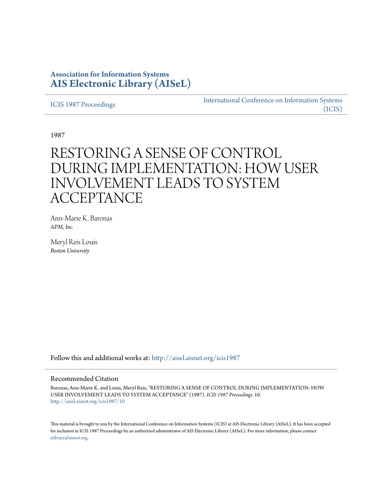## **Association for Information Systems [AIS Electronic Library \(AISeL\)](http://aisel.aisnet.org?utm_source=aisel.aisnet.org%2Ficis1987%2F10&utm_medium=PDF&utm_campaign=PDFCoverPages)**

[ICIS 1987 Proceedings](http://aisel.aisnet.org/icis1987?utm_source=aisel.aisnet.org%2Ficis1987%2F10&utm_medium=PDF&utm_campaign=PDFCoverPages)

[International Conference on Information Systems](http://aisel.aisnet.org/icis?utm_source=aisel.aisnet.org%2Ficis1987%2F10&utm_medium=PDF&utm_campaign=PDFCoverPages) [\(ICIS\)](http://aisel.aisnet.org/icis?utm_source=aisel.aisnet.org%2Ficis1987%2F10&utm_medium=PDF&utm_campaign=PDFCoverPages)

1987

# RESTORING A SENSE OF CONTROL DURING IMPLEMENTATION: HOW USER INVOLVEMENT LEADS TO SYSTEM **ACCEPTANCE**

Ann-Marie K. Baronas *APM, Inc.*

Meryl Reis Louis *Boston University*

Follow this and additional works at: [http://aisel.aisnet.org/icis1987](http://aisel.aisnet.org/icis1987?utm_source=aisel.aisnet.org%2Ficis1987%2F10&utm_medium=PDF&utm_campaign=PDFCoverPages)

#### Recommended Citation

Baronas, Ann-Marie K. and Louis, Meryl Reis, "RESTORING A SENSE OF CONTROL DURING IMPLEMENTATION: HOW USER INVOLVEMENT LEADS TO SYSTEM ACCEPTANCE" (1987). *ICIS 1987 Proceedings*. 10. [http://aisel.aisnet.org/icis1987/10](http://aisel.aisnet.org/icis1987/10?utm_source=aisel.aisnet.org%2Ficis1987%2F10&utm_medium=PDF&utm_campaign=PDFCoverPages)

This material is brought to you by the International Conference on Information Systems (ICIS) at AIS Electronic Library (AISeL). It has been accepted for inclusion in ICIS 1987 Proceedings by an authorized administrator of AIS Electronic Library (AISeL). For more information, please contact [elibrary@aisnet.org.](mailto:elibrary@aisnet.org%3E)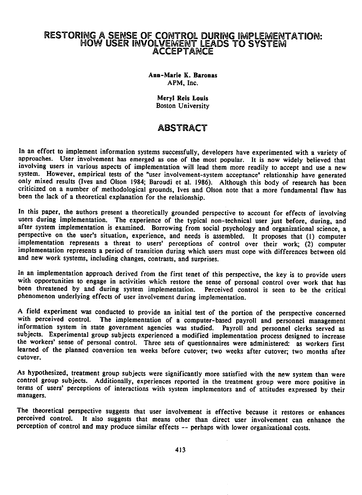### RESTORING A SENSE OF CONTROL DURING IMPLEMENTATION: HOW USER INVOLVEMENT LEADS TO SYSTEMI ACCEPTANCE

Ann-Marie K. Baronas APM, Inc.

> Meryl Reis Louis Boston University

## ABSTRACT

In an effort to implement information systems successfully, developers have experimented with a variety of approaches. User involvement has emerged as one of the most popular. It is now widely believed that involving users in various aspects of implementation will lead them more readily to accept and use <sup>a</sup> new system. However, empirical tests of the "user involvement-system acceptance" relationship have generated only mixed results (Ives and Olson 1984; Baroudi et al. 1986). Although this body of research has been criticized on <sup>a</sup> number of methodological grounds, Ives and Olson note that <sup>a</sup> more fundamental flaw has been the lack of a theoretical explanation for the relationship.

In this paper, the authors present a theoretically grounded perspective to account for effects of involving users during implementation. The experience of the typical non-technical user just before, during, and after system implementation is examined. Borrowing from social psychology and organizational science, a perspective on the user's situation, experience, and needs is assembled. It proposes that (1) computer implementation represents a threat to users' perceptions of control over their work; (2) computer implementation represents a period of transition during which users must cope with differences between old and new work systems, including changes, contrasts, and surprises.

In an implementation approach derived from the first tenet of this perspective, the key is to provide users with opportunities to engage in activities which restore the sense of personal control over work that has been threatened by and during system implementation. Perceived control is seen to be the critical phenomenon underlying effects of user involvement during implementation.

A field experiment was conducted to provide an initial test of the portion of the perspective concerned with perceived control. The implementation of <sup>a</sup> computer-based payroll and personnel management information system in state government agencies was studied. Payroll and personnel clerks served as subjects. Experimental group subjects experienced a modified implementation process designed to increase the workers' sense of personal control. Three sets of questionnaires were administered: as workers first learned of the planned conversion ten weeks before cutover; two weeks after cutover; two months after cutover.

As hypothesized, treatment group subjects were significantly more satisfied with the new system than were control group subjects. Additionally, experiences reported in the treatment group were more positive in terms of users' perceptions of interactions with system implementors and of attitudes expressed by their managers.

The theoretical perspective suggests that user involvement is effective because it restores or enhances perceived control. It also suggests that means other than direct user involvement can enhance the perception of control and may produce similar effects -- perhaps with lower organizational costs.